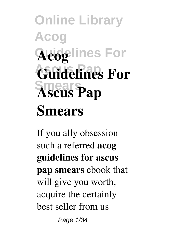# **Online Library Acog Acoglines For Guidelines For Smears Ascus Pap Smears**

If you ally obsession such a referred **acog guidelines for ascus pap smears** ebook that will give you worth, acquire the certainly best seller from us Page 1/34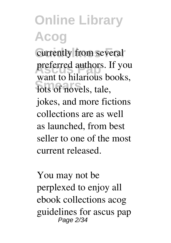# **Online Library Acog** currently from several

preferred authors. If you lots of novels, tale, want to hilarious books, jokes, and more fictions collections are as well as launched, from best seller to one of the most current released.

You may not be perplexed to enjoy all ebook collections acog guidelines for ascus pap Page 2/34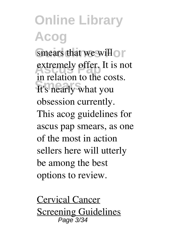#### **Online Library Acog** smears that we will on extremely offer. It is not **Smears** It's nearly what you in relation to the costs. obsession currently. This acog guidelines for ascus pap smears, as one of the most in action sellers here will utterly be among the best options to review.

Cervical Cancer **Screening Guidelines** Page 3/34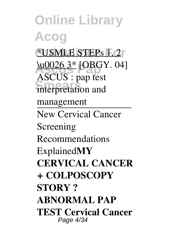**Online Library Acog Guidelines For** \*USMLE STEPs 1, 2 **ASCUS** and the 1 **Smears** interpretation and ASCUS : pap test management New Cervical Cancer Screening Recommendations Explained**MY CERVICAL CANCER + COLPOSCOPY STORY ? ABNORMAL PAP TEST Cervical Cancer** Page 4/34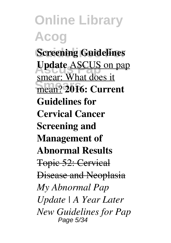**Online Library Acog Screening Guidelines Ascus Pap Update** ASCUS on pap **Smears** mean? **2016: Current** smear: What does it **Guidelines for Cervical Cancer Screening and Management of Abnormal Results** Topic 52: Cervical Disease and Neoplasia *My Abnormal Pap Update | A Year Later New Guidelines for Pap* Page 5/34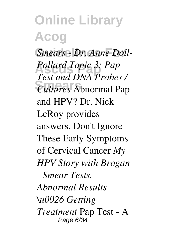**Online Library Acog** Smears - Dr. Anne Doll-**Ascus Pap** *Pollard Topic 3: Pap* **Smears** *Cultures* Abnormal Pap *Test and DNA Probes /* and HPV? Dr. Nick LeRoy provides answers. Don't Ignore These Early Symptoms of Cervical Cancer *My HPV Story with Brogan - Smear Tests, Abnormal Results \u0026 Getting Treatment* Pap Test - A Page 6/34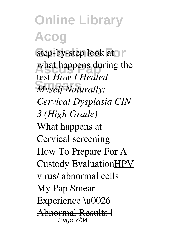**Online Library Acog** step-by-step look at r what happens during the **Smears** *Myself Naturally:* test *How I Healed Cervical Dysplasia CIN 3 (High Grade)* What happens at Cervical screening How To Prepare For A Custody EvaluationHPV virus/ abnormal cells My Pap Smear Experience \u0026 Abnormal Results | Page 7/34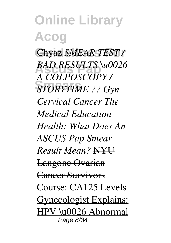**Online Library Acog Guidelines For** Chyaz *SMEAR TEST /* **BAD RESULTS \u0026 Smears** *STORYTIME ?? Gyn A COLPOSCOPY / Cervical Cancer The Medical Education Health: What Does An ASCUS Pap Smear Result Mean?* NYU Langone Ovarian Cancer Survivors Course: CA125 Levels Gynecologist Explains: HPV \u0026 Abnormal Page 8/34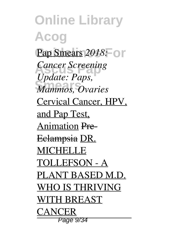**Online Library Acog Pap Smears 2018: 01** *Cancer Screening* **Smears** *Mammos, Ovaries Update: Paps,* Cervical Cancer, HPV, and Pap Test, Animation Pre-Eclampsia DR. **MICHELLE** TOLLEFSON - A PLANT BASED M.D. WHO IS THRIVING WITH BREAST **CANCER** Page 9/34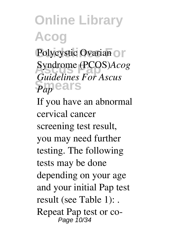### **Online Library Acog** Polycystic Ovarian OF **Ascus Pap** Syndrome (PCOS)*Acog* **Smears** *Pap Guidelines For Ascus* If you have an abnormal cervical cancer screening test result, you may need further testing. The following tests may be done depending on your age and your initial Pap test result (see Table 1): .

Repeat Pap test or co-Page 10/34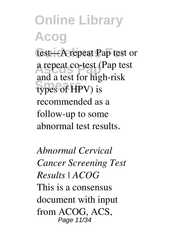**Online Library Acog** test-A repeat Pap test or **Ascus Pap** a repeat co-test (Pap test **Smears** types of HPV) is and a test for high-risk recommended as a follow-up to some abnormal test results.

*Abnormal Cervical Cancer Screening Test Results | ACOG* This is a consensus document with input from ACOG, ACS, Page 11/34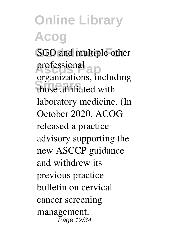**Online Library Acog SGO** and multiple other professional **Smears** those affiliated with organizations, including laboratory medicine. (In October 2020, ACOG released a practice advisory supporting the new ASCCP guidance and withdrew its previous practice bulletin on cervical cancer screening management. Page 12/34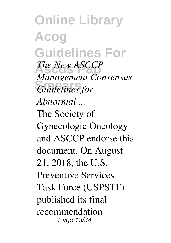**Online Library Acog Guidelines For** *The New ASCCP* **Smears** *Guidelines for Management Consensus Abnormal ...* The Society of Gynecologic Oncology and ASCCP endorse this document. On August 21, 2018, the U.S. Preventive Services Task Force (USPSTF) published its final recommendation Page 13/34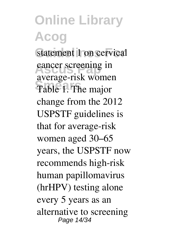#### **Online Library Acog** statement 1 on cervical cancer screening in Table 1. The major average-risk women change from the 2012 USPSTF guidelines is that for average-risk women aged 30–65 years, the USPSTF now recommends high-risk human papillomavirus (hrHPV) testing alone every 5 years as an alternative to screening Page 14/34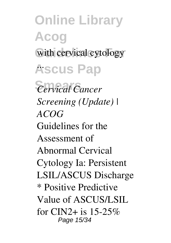**Online Library Acog** with cervical cytology **Ascus Pap** ...  $Cervical Cancer$ *Screening (Update) | ACOG* Guidelines for the Assessment of Abnormal Cervical Cytology Ia: Persistent LSIL/ASCUS Discharge \* Positive Predictive Value of ASCUS/LSIL for CIN2+ is  $15-25\%$ Page 15/34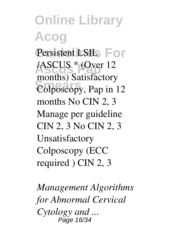**Online Library Acog** Persistent LSIL<sub>S</sub> For **Ascus Pap** /ASCUS \* (Over 12 **Smears** Colposcopy, Pap in 12 months) Satisfactory months No CIN 2, 3 Manage per guideline CIN 2, 3 No CIN 2, 3 Unsatisfactory Colposcopy (ECC required ) CIN 2, 3

*Management Algorithms for Abnormal Cervical Cytology and ...* Page 16/34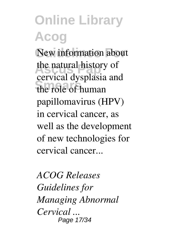### **Online Library Acog** New information about the natural history of **Smears** the role of human cervical dysplasia and papillomavirus (HPV) in cervical cancer, as well as the development of new technologies for cervical cancer...

*ACOG Releases Guidelines for Managing Abnormal Cervical ...* Page 17/34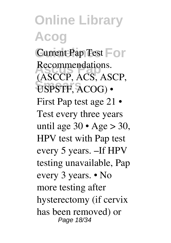**Online Library Acog Current Pap Test For** Recommendations. USPSTF, ACOG) • (ASCCP, ACS, ASCP, First Pap test age 21 • Test every three years until age  $30 \cdot \text{Age} > 30$ , HPV test with Pap test every 5 years. –If HPV testing unavailable, Pap every 3 years. • No more testing after hysterectomy (if cervix has been removed) or Page 18/34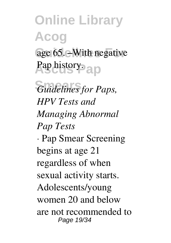## **Online Library Acog** age 65. – With negative **Ascus Pap** Pap history.

**Smears** *Guidelines for Paps, HPV Tests and Managing Abnormal Pap Tests* · Pap Smear Screening begins at age 21 regardless of when sexual activity starts. Adolescents/young women 20 and below are not recommended to Page 19/34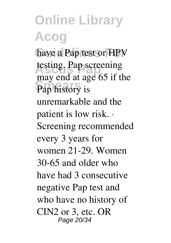**Online Library Acog** have a Pap test or HPV testing. Pap screening **Smears** Pap history is may end at age 65 if the unremarkable and the patient is low risk. · Screening recommended every 3 years for women 21-29. Women 30-65 and older who have had 3 consecutive negative Pap test and who have no history of CIN2 or 3, etc. OR Page 20/34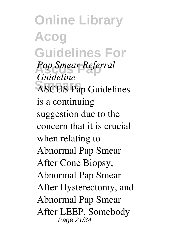**Online Library Acog Guidelines For Ascus Pap** *Pap Smear Referral* **Smears** ASCUS Pap Guidelines *Guideline* is a continuing suggestion due to the concern that it is crucial when relating to Abnormal Pap Smear After Cone Biopsy, Abnormal Pap Smear After Hysterectomy, and Abnormal Pap Smear After LEEP. Somebody Page 21/34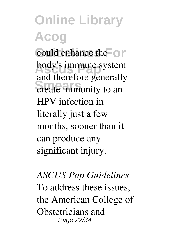### **Online Library Acog** could enhance the  $\circ$ body's immune system **Smears** create immunity to an and therefore generally HPV infection in literally just a few months, sooner than it can produce any significant injury.

*ASCUS Pap Guidelines* To address these issues, the American College of Obstetricians and Page 22/34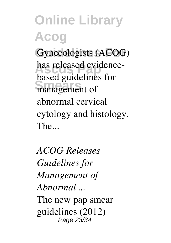**Online Library Acog** Gynecologists (ACOG) has released evidence-**Smears** management of based guidelines for abnormal cervical cytology and histology. The...

*ACOG Releases Guidelines for Management of Abnormal ...* The new pap smear guidelines (2012) Page 23/34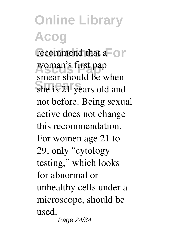#### **Online Library Acog** recommend that a<sup> $\overline{\phantom{a}}$ </sup> woman's first pap **Smears** she is 21 years old and smear should be when not before. Being sexual active does not change this recommendation. For women age 21 to 29, only "cytology testing," which looks for abnormal or unhealthy cells under a microscope, should be used. Page 24/34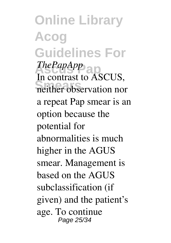**Online Library Acog Guidelines For** *ThePapApp* **Smears** neither observation nor In contrast to ASCUS, a repeat Pap smear is an option because the potential for abnormalities is much higher in the AGUS smear. Management is based on the AGUS subclassification (if given) and the patient's age. To continue Page 25/34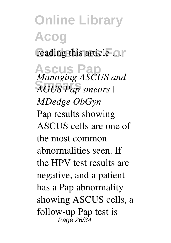**Online Library Acog** reading this article ... **Ascus Pap** *Managing ASCUS and* **Smears** *AGUS Pap smears | MDedge ObGyn* Pap results showing ASCUS cells are one of the most common abnormalities seen. If the HPV test results are negative, and a patient has a Pap abnormality showing ASCUS cells, a follow-up Pap test is Page 26/34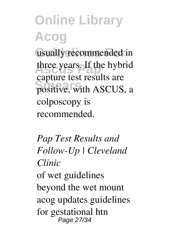# **Online Library Acog**

usually recommended in three years. If the hybrid **Smears** positive, with ASCUS, a capture test results are colposcopy is recommended.

*Pap Test Results and Follow-Up | Cleveland Clinic* of wet guidelines beyond the wet mount acog updates guidelines for gestational htn Page 27/34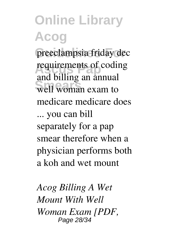### **Online Library Acog** preeclampsia friday dec requirements of coding well woman exam to and billing an annual medicare medicare does ... you can bill separately for a pap smear therefore when a physician performs both a koh and wet mount

*Acog Billing A Wet Mount With Well Woman Exam [PDF,* Page 28/34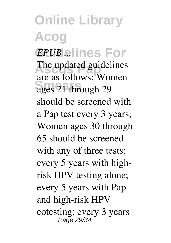**Online Library Acog**  $EPUB$  ... lines For The updated guidelines **Smears** ages 21 through 29 are as follows: Women should be screened with a Pap test every 3 years; Women ages 30 through 65 should be screened with any of three tests: every 5 years with highrisk HPV testing alone; every 5 years with Pap and high-risk HPV cotesting; every 3 years Page 29/34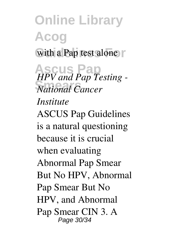**Online Library Acog** with a Pap test alone **Ascus Pap** *HPV and Pap Testing -* **Smears** *National Cancer Institute* ASCUS Pap Guidelines is a natural questioning because it is crucial when evaluating Abnormal Pap Smear But No HPV, Abnormal Pap Smear But No HPV, and Abnormal Pap Smear CIN 3. A Page 30/34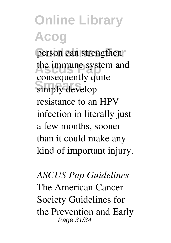**Online Library Acog** person can strengthen the immune system and simply develop consequently quite resistance to an HPV infection in literally just a few months, sooner than it could make any kind of important injury.

*ASCUS Pap Guidelines* The American Cancer Society Guidelines for the Prevention and Early Page 31/34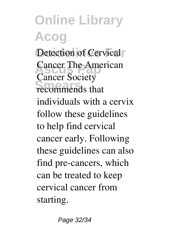**Online Library Acog** Detection of Cervical **Cancer The American Smears** recommends that Cancer Society individuals with a cervix follow these guidelines to help find cervical cancer early. Following these guidelines can also find pre-cancers, which can be treated to keep cervical cancer from starting.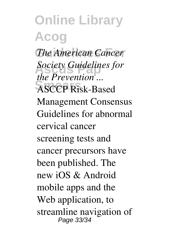**Online Library Acog The American Cancer Ascus Pap** *Society Guidelines for* **Smears** ASCCP Risk-Based *the Prevention ...* Management Consensus Guidelines for abnormal cervical cancer screening tests and cancer precursors have been published. The new iOS & Android mobile apps and the Web application, to streamline navigation of Page 33/34